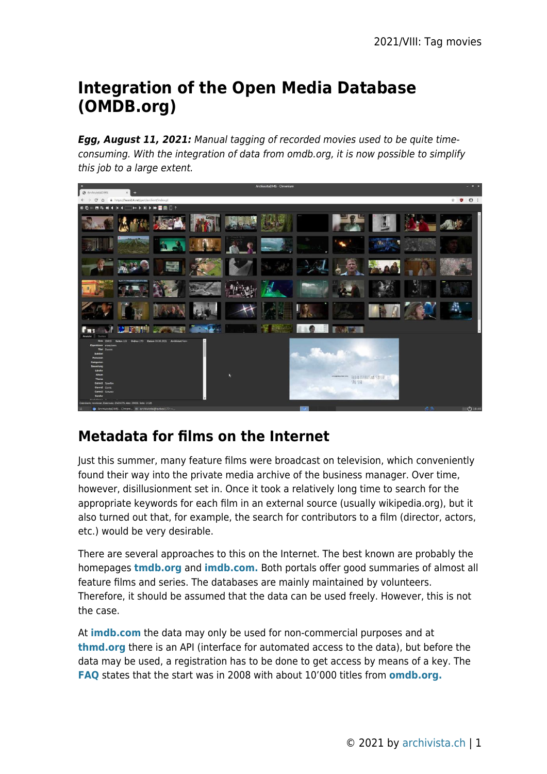# **Integration of the Open Media Database (OMDB.org)**

*Egg, August 11, 2021:* Manual tagging of recorded movies used to be quite timeconsuming. With the integration of data from omdb.org, it is now possible to simplify this job to a large extent.



# **Metadata for films on the Internet**

Just this summer, many feature films were broadcast on television, which conveniently found their way into the private media archive of the business manager. Over time, however, disillusionment set in. Once it took a relatively long time to search for the appropriate keywords for each film in an external source (usually wikipedia.org), but it also turned out that, for example, the search for contributors to a film (director, actors, etc.) would be very desirable.

There are several approaches to this on the Internet. The best known are probably the homepages **[tmdb.org](https://tmdb.org)** and **[imdb.com.](https://imdb.com)** Both portals offer good summaries of almost all feature films and series. The databases are mainly maintained by volunteers. Therefore, it should be assumed that the data can be used freely. However, this is not the case.

At **[imdb.com](https://imdb.com)** the data may only be used for non-commercial purposes and at **[thmd.org](https://thmd.org)** there is an API (interface for automated access to the data), but before the data may be used, a registration has to be done to get access by means of a key. The **[FAQ](https://www.themoviedb.org/faq/general)** states that the start was in 2008 with about 10'000 titles from **[omdb.org.](https://omdb.org)**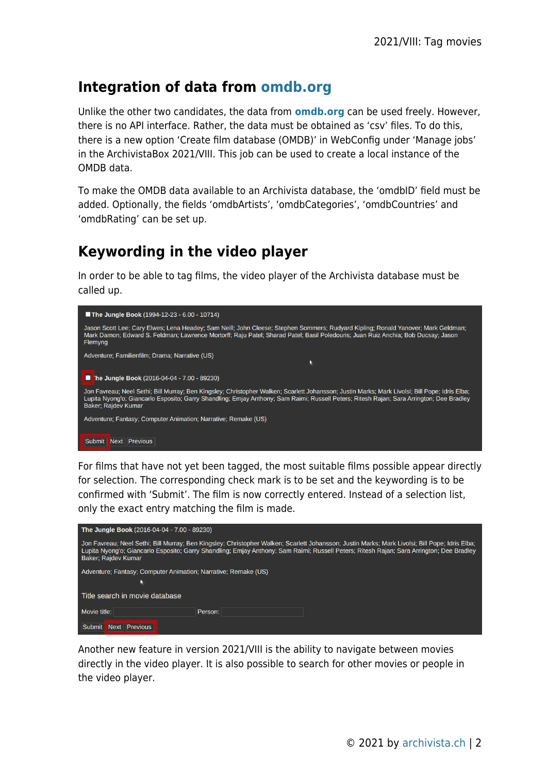### **Integration of data from [omdb.org](https://omdb.org)**

Unlike the other two candidates, the data from **[omdb.org](https://omdb.org)** can be used freely. However, there is no API interface. Rather, the data must be obtained as 'csv' files. To do this, there is a new option 'Create film database (OMDB)' in WebConfig under 'Manage jobs' in the ArchivistaBox 2021/VIII. This job can be used to create a local instance of the OMDB data.

To make the OMDB data available to an Archivista database, the 'omdbID' field must be added. Optionally, the fields 'omdbArtists', 'omdbCategories', 'omdbCountries' and 'omdbRating' can be set up.

# **Keywording in the video player**

In order to be able to tag films, the video player of the Archivista database must be called up.



For films that have not yet been tagged, the most suitable films possible appear directly for selection. The corresponding check mark is to be set and the keywording is to be confirmed with 'Submit'. The film is now correctly entered. Instead of a selection list, only the exact entry matching the film is made.



Another new feature in version 2021/VIII is the ability to navigate between movies directly in the video player. It is also possible to search for other movies or people in the video player.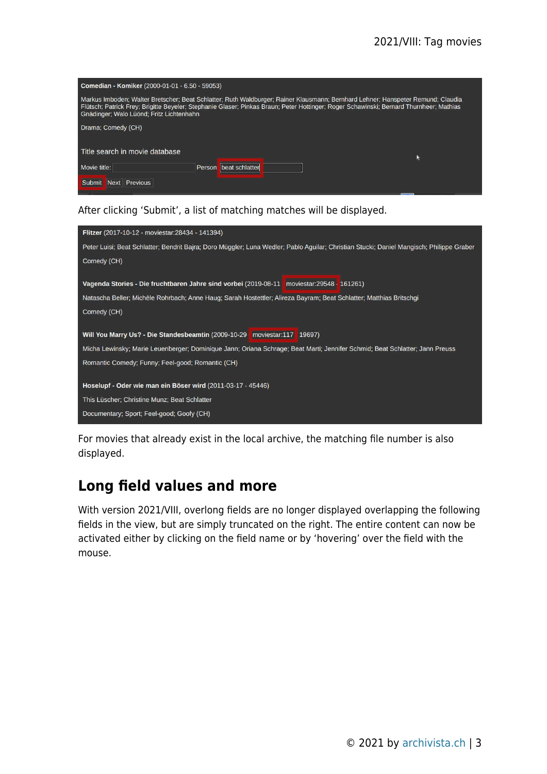| Comedian - Komiker (2000-01-01 - 6.50 - 59053)                                                                                                                                                                                                                                                                        |                          |  |  |
|-----------------------------------------------------------------------------------------------------------------------------------------------------------------------------------------------------------------------------------------------------------------------------------------------------------------------|--------------------------|--|--|
| Markus Imboden; Walter Bretscher; Beat Schlatter; Ruth Waldburger; Rainer Klausmann; Bernhard Lehner; Hanspeter Remund; Claudia<br>Flütsch; Patrick Frey; Brigitte Beyeler; Stephanie Glaser; Pinkas Braun; Peter Hottinger; Roger Schawinski; Bernard Thurnheer; Mathias<br>Gnädinger; Walo Lüönd; Fritz Lichtenhahn |                          |  |  |
| Drama; Comedy (CH)                                                                                                                                                                                                                                                                                                    |                          |  |  |
| Title search in movie database                                                                                                                                                                                                                                                                                        |                          |  |  |
|                                                                                                                                                                                                                                                                                                                       |                          |  |  |
| Movie title:                                                                                                                                                                                                                                                                                                          | beat schlatter<br>Person |  |  |
| <b>Previous</b><br>Submit<br><b>Next</b>                                                                                                                                                                                                                                                                              |                          |  |  |

#### After clicking 'Submit', a list of matching matches will be displayed.

For movies that already exist in the local archive, the matching file number is also displayed.

#### **Long field values and more**

With version 2021/VIII, overlong fields are no longer displayed overlapping the following fields in the view, but are simply truncated on the right. The entire content can now be activated either by clicking on the field name or by 'hovering' over the field with the mouse.